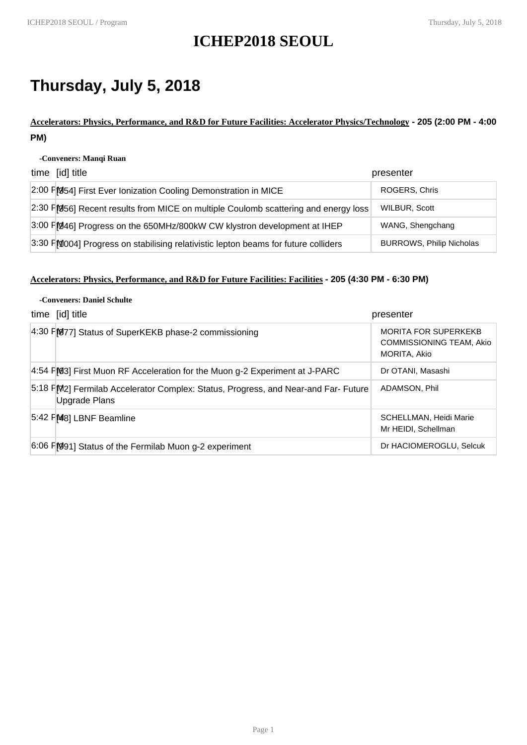# **ICHEP2018 SEOUL**

# **Thursday, July 5, 2018**

**Accelerators: Physics, Performance, and R&D for Future Facilities: Accelerator Physics/Technology - 205 (2:00 PM - 4:00 PM)**

#### **-Conveners: Manqi Ruan**

| time [id] title                                                                    | presenter                       |
|------------------------------------------------------------------------------------|---------------------------------|
| 2:00 FM54] First Ever Ionization Cooling Demonstration in MICE                     | ROGERS, Chris                   |
| 2:30 FM56] Recent results from MICE on multiple Coulomb scattering and energy loss | WILBUR, Scott                   |
| 3:00 FM46] Progress on the 650MHz/800kW CW klystron development at IHEP            | WANG, Shengchang                |
| 3:30 FM004] Progress on stabilising relativistic lepton beams for future colliders | <b>BURROWS, Philip Nicholas</b> |

### **Accelerators: Physics, Performance, and R&D for Future Facilities: Facilities - 205 (4:30 PM - 6:30 PM)**

| -Conveners: Daniel Schulte                                                                                |                                                                         |  |
|-----------------------------------------------------------------------------------------------------------|-------------------------------------------------------------------------|--|
| time [id] title                                                                                           | presenter                                                               |  |
| 4:30 F[077] Status of SuperKEKB phase-2 commissioning                                                     | <b>MORITA FOR SUPERKEKB</b><br>COMMISSIONING TEAM, Akio<br>MORITA, Akio |  |
| 4:54 FM3] First Muon RF Acceleration for the Muon g-2 Experiment at J-PARC                                | Dr OTANI, Masashi                                                       |  |
| 5:18 FM2] Fermilab Accelerator Complex: Status, Progress, and Near-and Far-Future<br><b>Upgrade Plans</b> | ADAMSON, Phil                                                           |  |
| 5:42 PM8] LBNF Beamline                                                                                   | SCHELLMAN, Heidi Marie<br>Mr HEIDI, Schellman                           |  |
| 6:06 FM991] Status of the Fermilab Muon g-2 experiment                                                    | Dr HACIOMEROGLU, Selcuk                                                 |  |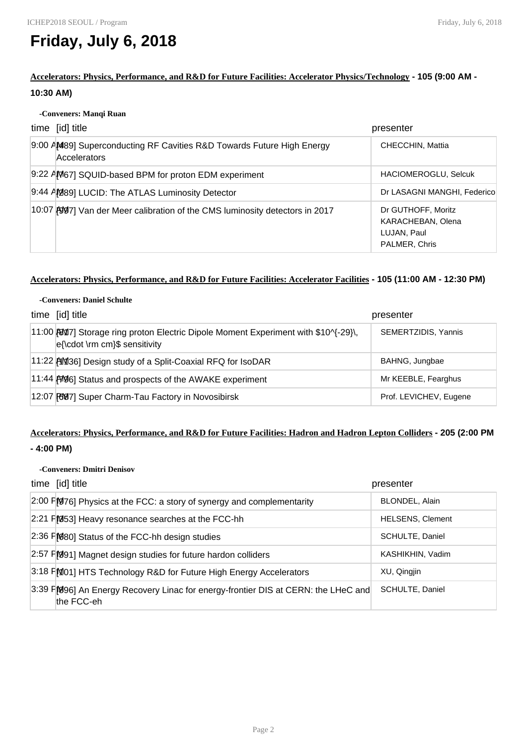# **Friday, July 6, 2018**

**Accelerators: Physics, Performance, and R&D for Future Facilities: Accelerator Physics/Technology - 105 (9:00 AM - 10:30 AM)**

#### **-Conveners: Manqi Ruan**

| time [id] title                                                                              | presenter                                                               |
|----------------------------------------------------------------------------------------------|-------------------------------------------------------------------------|
| 9:00 AM89] Superconducting RF Cavities R&D Towards Future High Energy<br><b>Accelerators</b> | CHECCHIN, Mattia                                                        |
| 9:22 AM67] SQUID-based BPM for proton EDM experiment                                         | <b>HACIOMEROGLU, Selcuk</b>                                             |
| 9:44 AM89] LUCID: The ATLAS Luminosity Detector                                              | Dr LASAGNI MANGHI, Federico                                             |
| 10:07 AV 7] Van der Meer calibration of the CMS luminosity detectors in 2017                 | Dr GUTHOFF, Moritz<br>KARACHEBAN, Olena<br>LUJAN, Paul<br>PALMER, Chris |

### **Accelerators: Physics, Performance, and R&D for Future Facilities: Accelerator Facilities - 105 (11:00 AM - 12:30 PM)**

| -Conveners: Daniel Schulte                                                                                            |                        |
|-----------------------------------------------------------------------------------------------------------------------|------------------------|
| time [id] title                                                                                                       | presenter              |
| 11:00 [8017] Storage ring proton Electric Dipole Moment Experiment with \$10^{-29}\,<br>e{\cdot \rm cm}\$ sensitivity | SEMERTZIDIS, Yannis    |
| 11:22 [11] 1:22 [11] Design study of a Split-Coaxial RFQ for IsoDAR                                                   | BAHNG, Jungbae         |
| 11:44 [49] Status and prospects of the AWAKE experiment                                                               | Mr KEEBLE, Fearghus    |
| 12:07 [697] Super Charm-Tau Factory in Novosibirsk                                                                    | Prof. LEVICHEV, Eugene |

# **Accelerators: Physics, Performance, and R&D for Future Facilities: Hadron and Hadron Lepton Colliders - 205 (2:00 PM**

# **- 4:00 PM)**

### **-Conveners: Dmitri Denisov**

| time [id] title                                                                                 | presenter               |
|-------------------------------------------------------------------------------------------------|-------------------------|
| 2:00 FM976] Physics at the FCC: a story of synergy and complementarity                          | BLONDEL, Alain          |
| $2:21$ F[053] Heavy resonance searches at the FCC-hh                                            | <b>HELSENS, Clement</b> |
| 2:36 FM80] Status of the FCC-hh design studies                                                  | SCHULTE, Daniel         |
| 2:57 F[091] Magnet design studies for future hardon colliders                                   | KASHIKHIN, Vadim        |
| 3:18 FM01] HTS Technology R&D for Future High Energy Accelerators                               | XU, Qingjin             |
| 3:39 FM96] An Energy Recovery Linac for energy-frontier DIS at CERN: the LHeC and<br>the FCC-eh | SCHULTE, Daniel         |